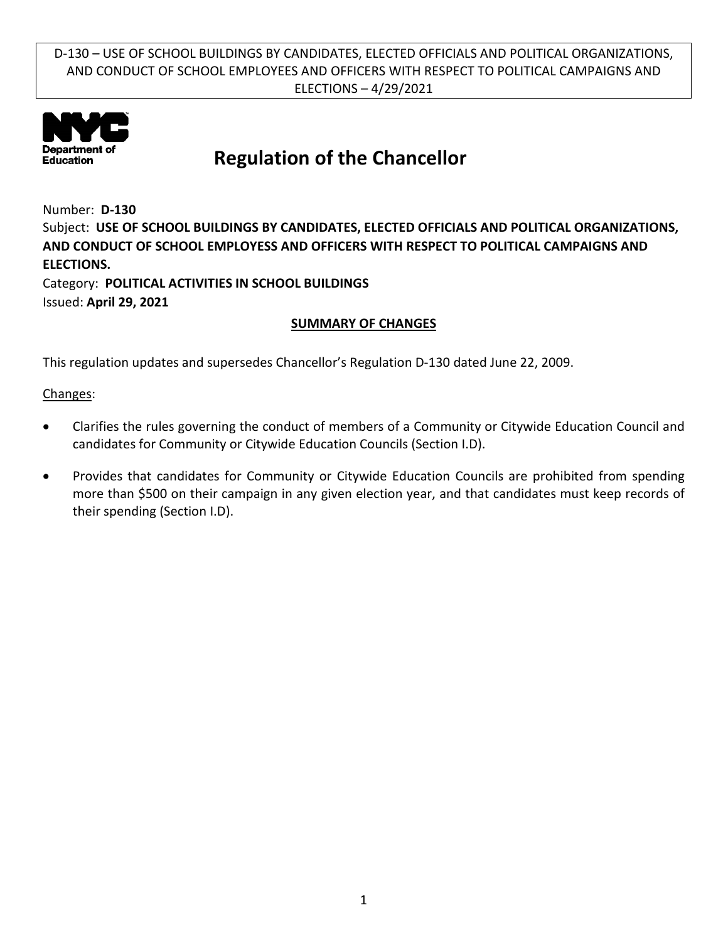

# **Regulation of the Chancellor**

Number: **D-130** Subject: **USE OF SCHOOL BUILDINGS BY CANDIDATES, ELECTED OFFICIALS AND POLITICAL ORGANIZATIONS, AND CONDUCT OF SCHOOL EMPLOYESS AND OFFICERS WITH RESPECT TO POLITICAL CAMPAIGNS AND ELECTIONS.** Category: **POLITICAL ACTIVITIES IN SCHOOL BUILDINGS** Issued: **April 29, 2021**

### **SUMMARY OF CHANGES**

This regulation updates and supersedes Chancellor's Regulation D-130 dated June 22, 2009.

Changes:

- Clarifies the rules governing the conduct of members of a Community or Citywide Education Council and candidates for Community or Citywide Education Councils (Section I.D).
- Provides that candidates for Community or Citywide Education Councils are prohibited from spending more than \$500 on their campaign in any given election year, and that candidates must keep records of their spending (Section I.D).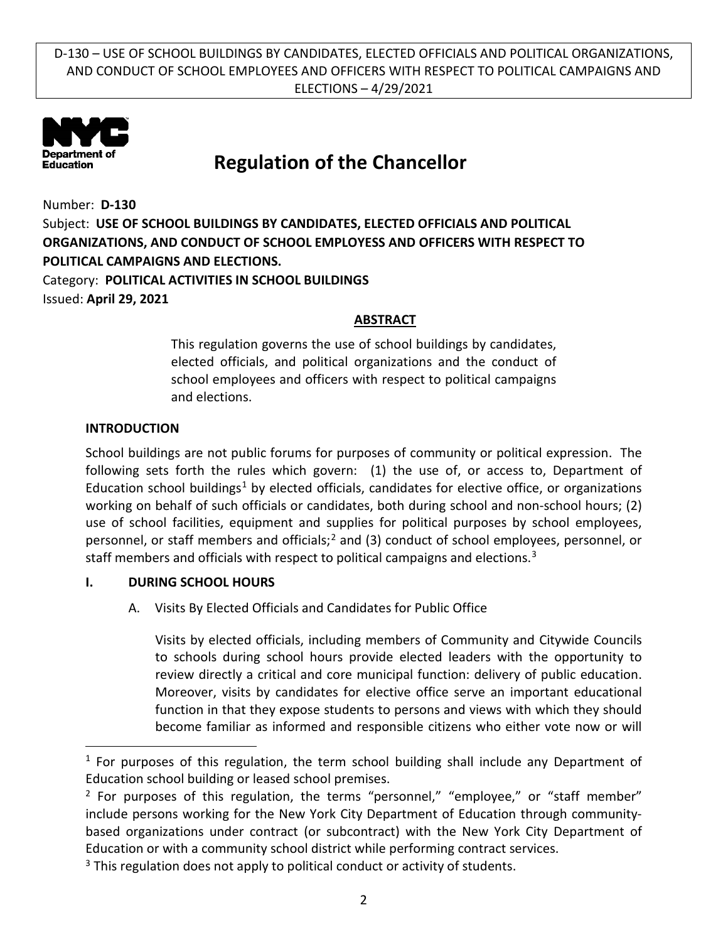

## **Regulation of the Chancellor**

Number: **D-130** Subject: **USE OF SCHOOL BUILDINGS BY CANDIDATES, ELECTED OFFICIALS AND POLITICAL ORGANIZATIONS, AND CONDUCT OF SCHOOL EMPLOYESS AND OFFICERS WITH RESPECT TO POLITICAL CAMPAIGNS AND ELECTIONS.** Category: **POLITICAL ACTIVITIES IN SCHOOL BUILDINGS**

Issued: **April 29, 2021**

 $\overline{a}$ 

#### **ABSTRACT**

This regulation governs the use of school buildings by candidates, elected officials, and political organizations and the conduct of school employees and officers with respect to political campaigns and elections.

#### **INTRODUCTION**

School buildings are not public forums for purposes of community or political expression. The following sets forth the rules which govern: (1) the use of, or access to, Department of Education school buildings<sup>[1](#page-1-0)</sup> by elected officials, candidates for elective office, or organizations working on behalf of such officials or candidates, both during school and non-school hours; (2) use of school facilities, equipment and supplies for political purposes by school employees, personnel, or staff members and officials;<sup>[2](#page-1-1)</sup> and (3) conduct of school employees, personnel, or staff members and officials with respect to political campaigns and elections.<sup>[3](#page-1-2)</sup>

#### **I. DURING SCHOOL HOURS**

A. Visits By Elected Officials and Candidates for Public Office

Visits by elected officials, including members of Community and Citywide Councils to schools during school hours provide elected leaders with the opportunity to review directly a critical and core municipal function: delivery of public education. Moreover, visits by candidates for elective office serve an important educational function in that they expose students to persons and views with which they should become familiar as informed and responsible citizens who either vote now or will

<span id="page-1-0"></span> $1$  For purposes of this regulation, the term school building shall include any Department of Education school building or leased school premises.

<span id="page-1-1"></span> $2$  For purposes of this regulation, the terms "personnel," "employee," or "staff member" include persons working for the New York City Department of Education through communitybased organizations under contract (or subcontract) with the New York City Department of Education or with a community school district while performing contract services.

<span id="page-1-2"></span><sup>&</sup>lt;sup>3</sup> This regulation does not apply to political conduct or activity of students.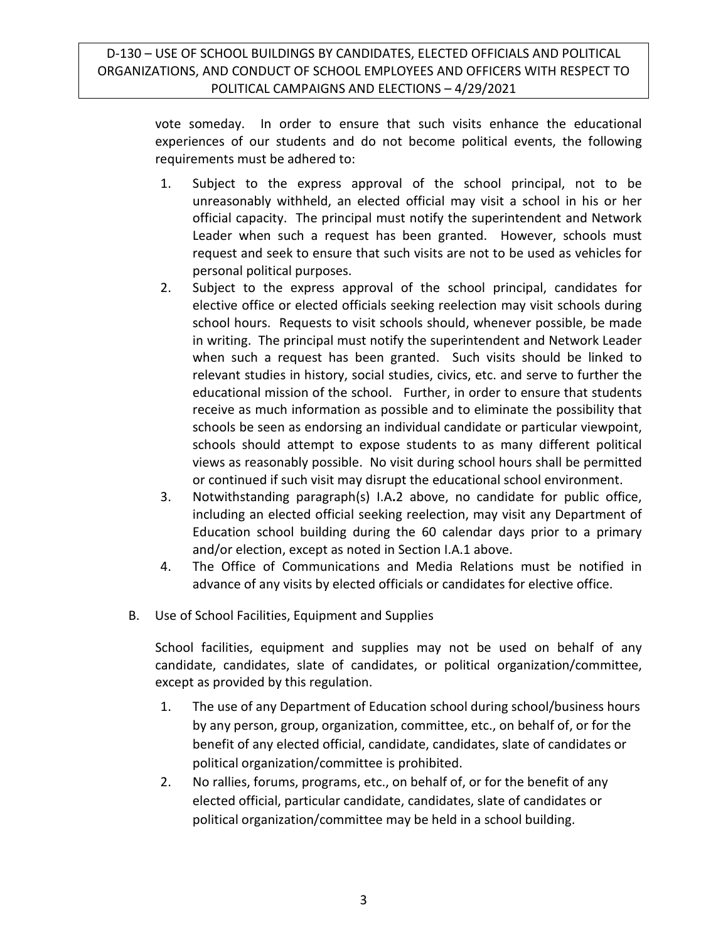> vote someday. In order to ensure that such visits enhance the educational experiences of our students and do not become political events, the following requirements must be adhered to:

- 1. Subject to the express approval of the school principal, not to be unreasonably withheld, an elected official may visit a school in his or her official capacity. The principal must notify the superintendent and Network Leader when such a request has been granted. However, schools must request and seek to ensure that such visits are not to be used as vehicles for personal political purposes.
- 2. Subject to the express approval of the school principal, candidates for elective office or elected officials seeking reelection may visit schools during school hours. Requests to visit schools should, whenever possible, be made in writing. The principal must notify the superintendent and Network Leader when such a request has been granted. Such visits should be linked to relevant studies in history, social studies, civics, etc. and serve to further the educational mission of the school. Further, in order to ensure that students receive as much information as possible and to eliminate the possibility that schools be seen as endorsing an individual candidate or particular viewpoint, schools should attempt to expose students to as many different political views as reasonably possible. No visit during school hours shall be permitted or continued if such visit may disrupt the educational school environment.
- 3. Notwithstanding paragraph(s) I.A**.**2 above, no candidate for public office, including an elected official seeking reelection, may visit any Department of Education school building during the 60 calendar days prior to a primary and/or election, except as noted in Section I.A.1 above.
- 4. The Office of Communications and Media Relations must be notified in advance of any visits by elected officials or candidates for elective office.
- B. Use of School Facilities, Equipment and Supplies

School facilities, equipment and supplies may not be used on behalf of any candidate, candidates, slate of candidates, or political organization/committee, except as provided by this regulation.

- 1. The use of any Department of Education school during school/business hours by any person, group, organization, committee, etc., on behalf of, or for the benefit of any elected official, candidate, candidates, slate of candidates or political organization/committee is prohibited.
- 2. No rallies, forums, programs, etc., on behalf of, or for the benefit of any elected official, particular candidate, candidates, slate of candidates or political organization/committee may be held in a school building.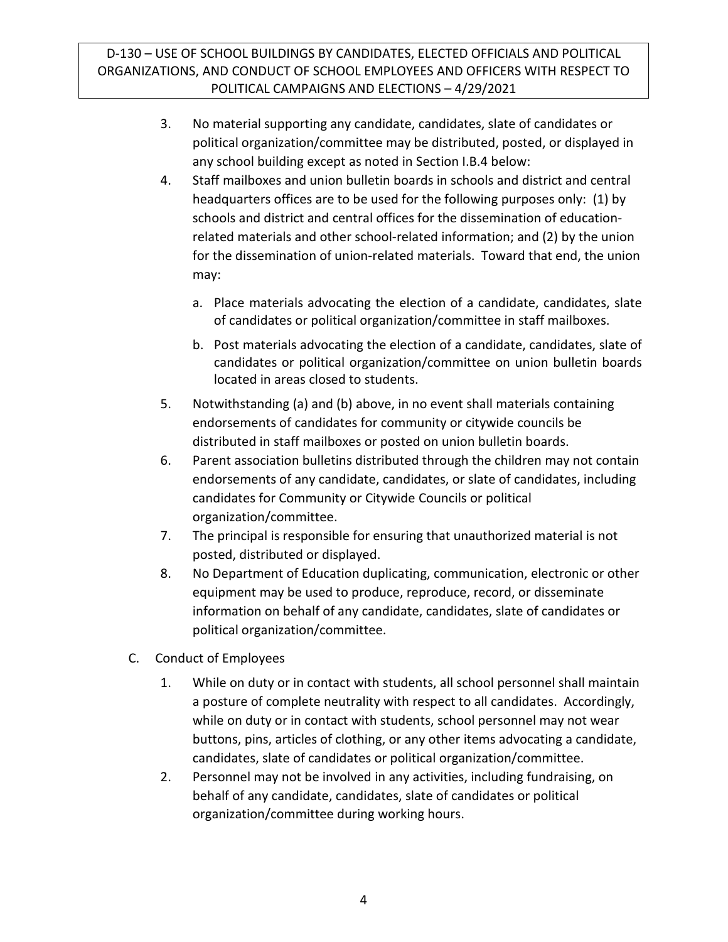- 3. No material supporting any candidate, candidates, slate of candidates or political organization/committee may be distributed, posted, or displayed in any school building except as noted in Section I.B.4 below:
- 4. Staff mailboxes and union bulletin boards in schools and district and central headquarters offices are to be used for the following purposes only: (1) by schools and district and central offices for the dissemination of educationrelated materials and other school-related information; and (2) by the union for the dissemination of union-related materials. Toward that end, the union may:
	- a. Place materials advocating the election of a candidate, candidates, slate of candidates or political organization/committee in staff mailboxes.
	- b. Post materials advocating the election of a candidate, candidates, slate of candidates or political organization/committee on union bulletin boards located in areas closed to students.
- 5. Notwithstanding (a) and (b) above, in no event shall materials containing endorsements of candidates for community or citywide councils be distributed in staff mailboxes or posted on union bulletin boards.
- 6. Parent association bulletins distributed through the children may not contain endorsements of any candidate, candidates, or slate of candidates, including candidates for Community or Citywide Councils or political organization/committee.
- 7. The principal is responsible for ensuring that unauthorized material is not posted, distributed or displayed.
- 8. No Department of Education duplicating, communication, electronic or other equipment may be used to produce, reproduce, record, or disseminate information on behalf of any candidate, candidates, slate of candidates or political organization/committee.
- C. Conduct of Employees
	- 1. While on duty or in contact with students, all school personnel shall maintain a posture of complete neutrality with respect to all candidates. Accordingly, while on duty or in contact with students, school personnel may not wear buttons, pins, articles of clothing, or any other items advocating a candidate, candidates, slate of candidates or political organization/committee.
	- 2. Personnel may not be involved in any activities, including fundraising, on behalf of any candidate, candidates, slate of candidates or political organization/committee during working hours.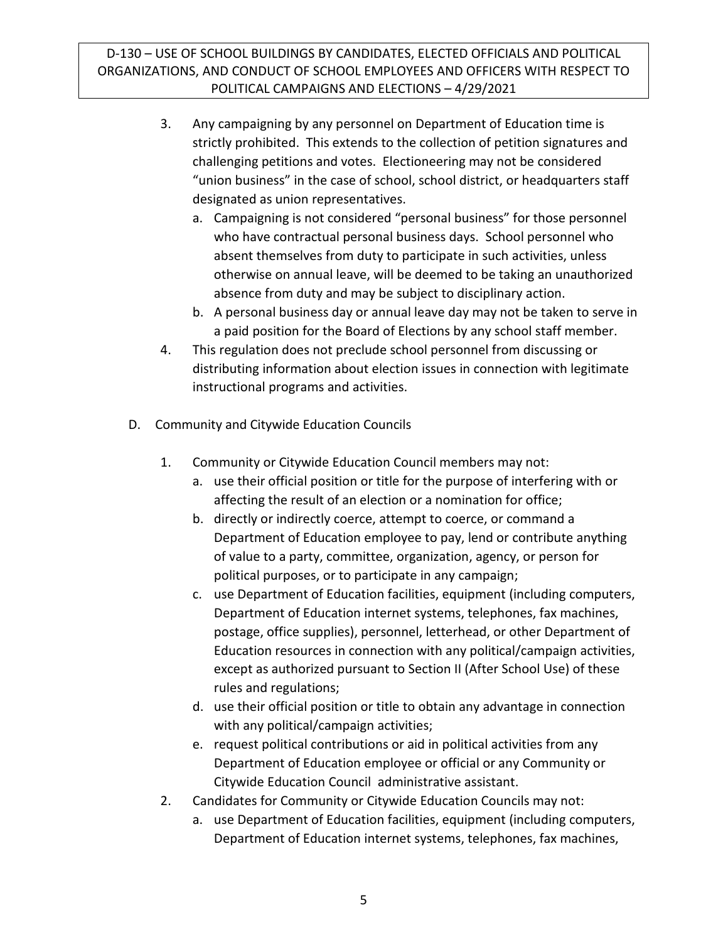- 3. Any campaigning by any personnel on Department of Education time is strictly prohibited. This extends to the collection of petition signatures and challenging petitions and votes. Electioneering may not be considered "union business" in the case of school, school district, or headquarters staff designated as union representatives.
	- a. Campaigning is not considered "personal business" for those personnel who have contractual personal business days. School personnel who absent themselves from duty to participate in such activities, unless otherwise on annual leave, will be deemed to be taking an unauthorized absence from duty and may be subject to disciplinary action.
	- b. A personal business day or annual leave day may not be taken to serve in a paid position for the Board of Elections by any school staff member.
- 4. This regulation does not preclude school personnel from discussing or distributing information about election issues in connection with legitimate instructional programs and activities.
- D. Community and Citywide Education Councils
	- 1. Community or Citywide Education Council members may not:
		- a. use their official position or title for the purpose of interfering with or affecting the result of an election or a nomination for office;
		- b. directly or indirectly coerce, attempt to coerce, or command a Department of Education employee to pay, lend or contribute anything of value to a party, committee, organization, agency, or person for political purposes, or to participate in any campaign;
		- c. use Department of Education facilities, equipment (including computers, Department of Education internet systems, telephones, fax machines, postage, office supplies), personnel, letterhead, or other Department of Education resources in connection with any political/campaign activities, except as authorized pursuant to Section II (After School Use) of these rules and regulations;
		- d. use their official position or title to obtain any advantage in connection with any political/campaign activities;
		- e. request political contributions or aid in political activities from any Department of Education employee or official or any Community or Citywide Education Council administrative assistant.
	- 2. Candidates for Community or Citywide Education Councils may not:
		- a. use Department of Education facilities, equipment (including computers, Department of Education internet systems, telephones, fax machines,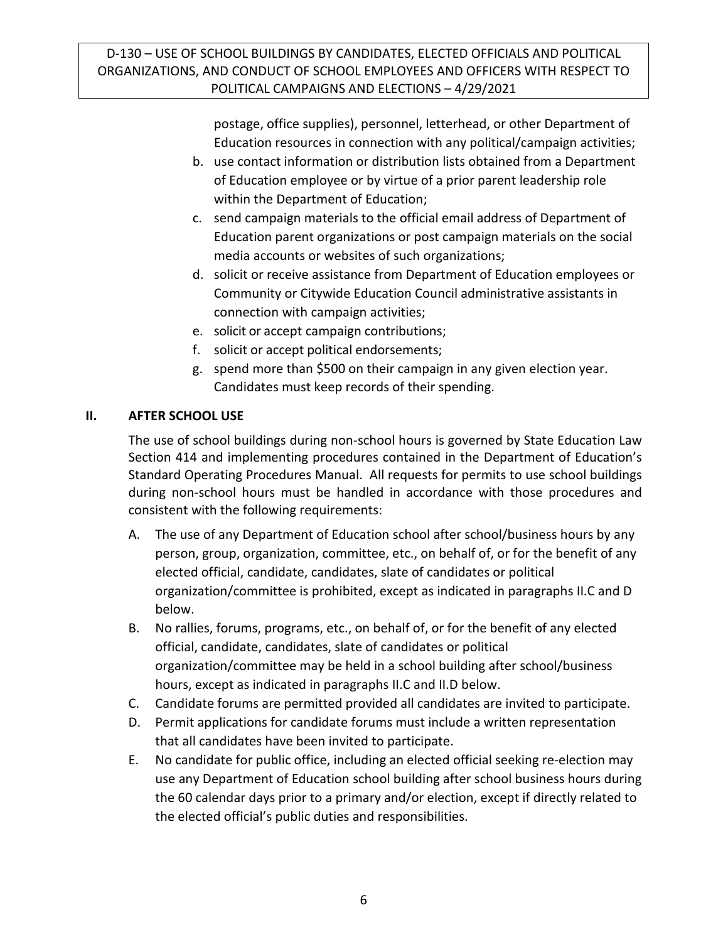postage, office supplies), personnel, letterhead, or other Department of Education resources in connection with any political/campaign activities;

- b. use contact information or distribution lists obtained from a Department of Education employee or by virtue of a prior parent leadership role within the Department of Education;
- c. send campaign materials to the official email address of Department of Education parent organizations or post campaign materials on the social media accounts or websites of such organizations;
- d. solicit or receive assistance from Department of Education employees or Community or Citywide Education Council administrative assistants in connection with campaign activities;
- e. solicit or accept campaign contributions;
- f. solicit or accept political endorsements;
- g. spend more than \$500 on their campaign in any given election year. Candidates must keep records of their spending.

## **II. AFTER SCHOOL USE**

The use of school buildings during non-school hours is governed by State Education Law Section 414 and implementing procedures contained in the Department of Education's Standard Operating Procedures Manual. All requests for permits to use school buildings during non-school hours must be handled in accordance with those procedures and consistent with the following requirements:

- A. The use of any Department of Education school after school/business hours by any person, group, organization, committee, etc., on behalf of, or for the benefit of any elected official, candidate, candidates, slate of candidates or political organization/committee is prohibited, except as indicated in paragraphs II.C and D below.
- B. No rallies, forums, programs, etc., on behalf of, or for the benefit of any elected official, candidate, candidates, slate of candidates or political organization/committee may be held in a school building after school/business hours, except as indicated in paragraphs II.C and II.D below.
- C. Candidate forums are permitted provided all candidates are invited to participate.
- D. Permit applications for candidate forums must include a written representation that all candidates have been invited to participate.
- E. No candidate for public office, including an elected official seeking re-election may use any Department of Education school building after school business hours during the 60 calendar days prior to a primary and/or election, except if directly related to the elected official's public duties and responsibilities.